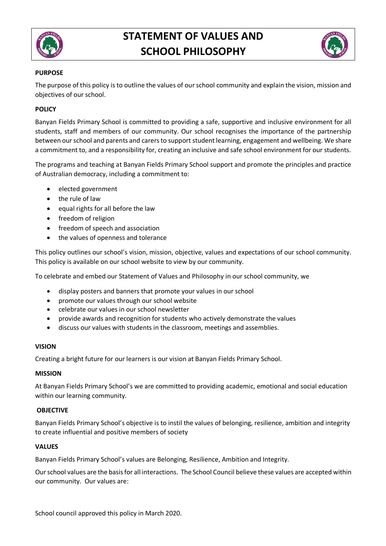

# **STATEMENT OF VALUES AND SCHOOL PHILOSOPHY**



# **PURPOSE**

The purpose of this policy is to outline the values of our school community and explain the vision, mission and objectives of our school.

# **POLICY**

Banyan Fields Primary School is committed to providing a safe, supportive and inclusive environment for all students, staff and members of our community. Our school recognises the importance of the partnership between our school and parents and carers to support student learning, engagement and wellbeing. We share a commitment to, and a responsibility for, creating an inclusive and safe school environment for our students.

The programs and teaching at Banyan Fields Primary School support and promote the principles and practice of Australian democracy, including a commitment to:

- elected government
- the rule of law
- equal rights for all before the law
- freedom of religion
- freedom of speech and association
- the values of openness and tolerance

This policy outlines our school's vision, mission, objective, values and expectations of our school community. This policy is available on our school website to view by our community.

To celebrate and embed our Statement of Values and Philosophy in our school community, we

- display posters and banners that promote your values in our school
- promote our values through our school website
- celebrate our values in our school newsletter
- provide awards and recognition for students who actively demonstrate the values
- discuss our values with students in the classroom, meetings and assemblies.

### **VISION**

Creating a bright future for our learners is our vision at Banyan Fields Primary School.

#### **MISSION**

At Banyan Fields Primary School's we are committed to providing academic, emotional and social education within our learning community.

### **OBJECTIVE**

Banyan Fields Primary School's objective is to instil the values of belonging, resilience, ambition and integrity to create influential and positive members of society

### **VALUES**

Banyan Fields Primary School's values are Belonging, Resilience, Ambition and Integrity.

Our school values are the basis for all interactions. The School Council believe these values are accepted within our community. Our values are:

School council approved this policy in March 2020.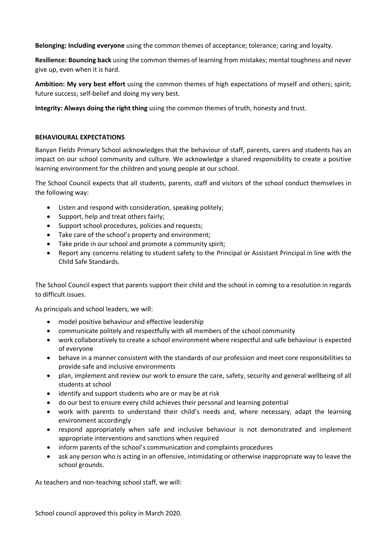**Belonging: Including everyone** using the common themes of acceptance; tolerance; caring and loyalty.

**Resilience: Bouncing back** using the common themes of learning from mistakes; mental toughness and never give up, even when it is hard.

**Ambition: My very best effort** using the common themes of high expectations of myself and others; spirit; future success; self-belief and doing my very best.

**Integrity: Always doing the right thing** using the common themes of truth, honesty and trust.

# **BEHAVIOURAL EXPECTATIONS**

Banyan Fields Primary School acknowledges that the behaviour of staff, parents, carers and students has an impact on our school community and culture. We acknowledge a shared responsibility to create a positive learning environment for the children and young people at our school.

The School Council expects that all students, parents, staff and visitors of the school conduct themselves in the following way:

- Listen and respond with consideration, speaking politely;
- Support, help and treat others fairly;
- Support school procedures, policies and requests;
- Take care of the school's property and environment;
- Take pride in our school and promote a community spirit;
- Report any concerns relating to student safety to the Principal or Assistant Principal in line with the Child Safe Standards.

The School Council expect that parents support their child and the school in coming to a resolution in regards to difficult issues.

As principals and school leaders, we will:

- model positive behaviour and effective leadership
- communicate politely and respectfully with all members of the school community
- work collaboratively to create a school environment where respectful and safe behaviour is expected of everyone
- behave in a manner consistent with the standards of our profession and meet core responsibilities to provide safe and inclusive environments
- plan, implement and review our work to ensure the care, safety, security and general wellbeing of all students at school
- identify and support students who are or may be at risk
- do our best to ensure every child achieves their personal and learning potential
- work with parents to understand their child's needs and, where necessary, adapt the learning environment accordingly
- respond appropriately when safe and inclusive behaviour is not demonstrated and implement appropriate interventions and sanctions when required
- inform parents of the school's communication and complaints procedures
- ask any person who is acting in an offensive, intimidating or otherwise inappropriate way to leave the school grounds.

As teachers and non-teaching school staff, we will:

School council approved this policy in March 2020.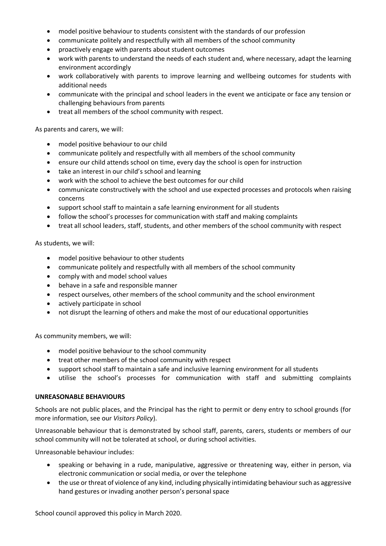- model positive behaviour to students consistent with the standards of our profession
- communicate politely and respectfully with all members of the school community
- proactively engage with parents about student outcomes
- work with parents to understand the needs of each student and, where necessary, adapt the learning environment accordingly
- work collaboratively with parents to improve learning and wellbeing outcomes for students with additional needs
- communicate with the principal and school leaders in the event we anticipate or face any tension or challenging behaviours from parents
- treat all members of the school community with respect.

As parents and carers, we will:

- model positive behaviour to our child
- communicate politely and respectfully with all members of the school community
- ensure our child attends school on time, every day the school is open for instruction
- take an interest in our child's school and learning
- work with the school to achieve the best outcomes for our child
- communicate constructively with the school and use expected processes and protocols when raising concerns
- support school staff to maintain a safe learning environment for all students
- follow the school's processes for communication with staff and making complaints
- treat all school leaders, staff, students, and other members of the school community with respect

As students, we will:

- model positive behaviour to other students
- communicate politely and respectfully with all members of the school community
- comply with and model school values
- behave in a safe and responsible manner
- respect ourselves, other members of the school community and the school environment
- actively participate in school
- not disrupt the learning of others and make the most of our educational opportunities

As community members, we will:

- model positive behaviour to the school community
- treat other members of the school community with respect
- support school staff to maintain a safe and inclusive learning environment for all students
- utilise the school's processes for communication with staff and submitting complaints

### **UNREASONABLE BEHAVIOURS**

Schools are not public places, and the Principal has the right to permit or deny entry to school grounds (for more information, see our *Visitors Policy*).

Unreasonable behaviour that is demonstrated by school staff, parents, carers, students or members of our school community will not be tolerated at school, or during school activities.

Unreasonable behaviour includes:

- speaking or behaving in a rude, manipulative, aggressive or threatening way, either in person, via electronic communication or social media, or over the telephone
- the use or threat of violence of any kind, including physically intimidating behaviour such as aggressive hand gestures or invading another person's personal space

School council approved this policy in March 2020.